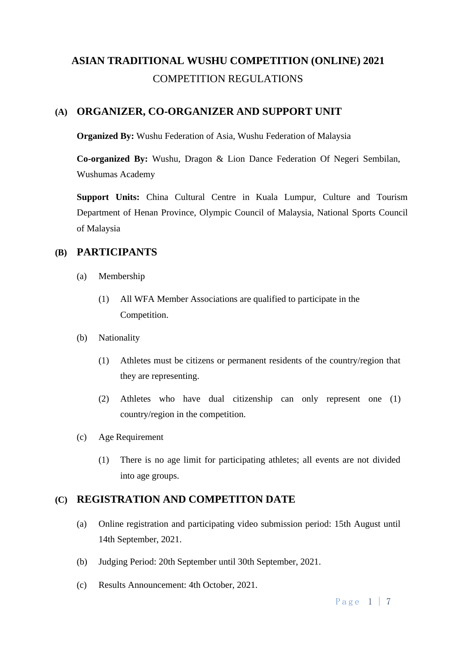# **ASIAN TRADITIONAL WUSHU COMPETITION (ONLINE) 2021** COMPETITION REGULATIONS

# **(A) ORGANIZER, CO-ORGANIZER AND SUPPORT UNIT**

**Organized By:** Wushu Federation of Asia, Wushu Federation of Malaysia

**Co-organized By:** Wushu, Dragon & Lion Dance Federation Of Negeri Sembilan, Wushumas Academy

**Support Units:** China Cultural Centre in Kuala Lumpur, Culture and Tourism Department of Henan Province, Olympic Council of Malaysia, National Sports Council of Malaysia

# **(B) PARTICIPANTS**

- (a) Membership
	- (1) All WFA Member Associations are qualified to participate in the Competition.
- (b) Nationality
	- (1) Athletes must be citizens or permanent residents of the country/region that they are representing.
	- (2) Athletes who have dual citizenship can only represent one (1) country/region in the competition.
- (c) Age Requirement
	- (1) There is no age limit for participating athletes; all events are not divided into age groups.

# **(C) REGISTRATION AND COMPETITON DATE**

- (a) Online registration and participating video submission period: 15th August until 14th September, 2021.
- (b) Judging Period: 20th September until 30th September, 2021.
- (c) Results Announcement: 4th October, 2021.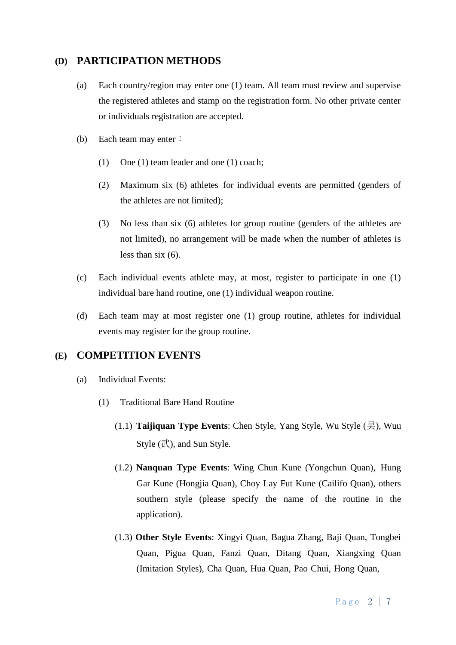# **(D) PARTICIPATION METHODS**

- (a) Each country/region may enter one (1) team. All team must review and supervise the registered athletes and stamp on the registration form. No other private center or individuals registration are accepted.
- (b) Each team may enter:
	- (1) One (1) team leader and one (1) coach;
	- (2) Maximum six (6) athletes for individual events are permitted (genders of the athletes are not limited);
	- (3) No less than six (6) athletes for group routine (genders of the athletes are not limited), no arrangement will be made when the number of athletes is less than six (6).
- (c) Each individual events athlete may, at most, register to participate in one (1) individual bare hand routine, one (1) individual weapon routine.
- (d) Each team may at most register one (1) group routine, athletes for individual events may register for the group routine.

## **(E) COMPETITION EVENTS**

- (a) Individual Events:
	- (1) Traditional Bare Hand Routine
		- (1.1) **Taijiquan Type Events**: Chen Style, Yang Style, Wu Style (吴), Wuu Style  $(\mathbb{R})$ , and Sun Style.
		- (1.2) **Nanquan Type Events**: Wing Chun Kune (Yongchun Quan), Hung Gar Kune (Hongjia Quan), Choy Lay Fut Kune (Cailifo Quan), others southern style (please specify the name of the routine in the application).
		- (1.3) **Other Style Events**: Xingyi Quan, Bagua Zhang, Baji Quan, Tongbei Quan, Pigua Quan, Fanzi Quan, Ditang Quan, Xiangxing Quan (Imitation Styles), Cha Quan, Hua Quan, Pao Chui, Hong Quan,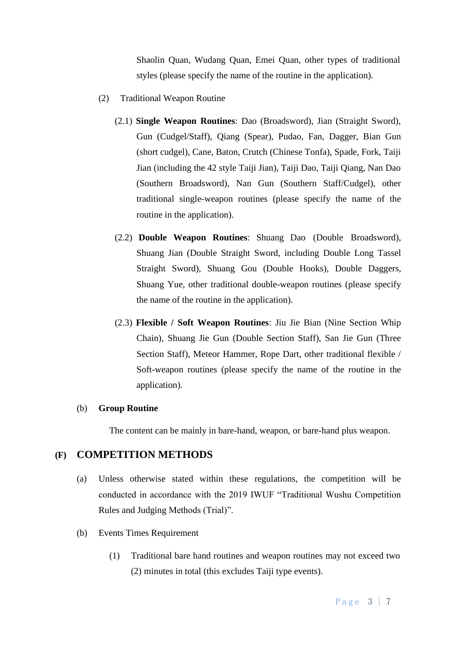Shaolin Quan, Wudang Quan, Emei Quan, other types of traditional styles (please specify the name of the routine in the application).

- (2) Traditional Weapon Routine
	- (2.1) **Single Weapon Routines**: Dao (Broadsword), Jian (Straight Sword), Gun (Cudgel/Staff), Qiang (Spear), Pudao, Fan, Dagger, Bian Gun (short cudgel), Cane, Baton, Crutch (Chinese Tonfa), Spade, Fork, Taiji Jian (including the 42 style Taiji Jian), Taiji Dao, Taiji Qiang, Nan Dao (Southern Broadsword), Nan Gun (Southern Staff/Cudgel), other traditional single-weapon routines (please specify the name of the routine in the application).
	- (2.2) **Double Weapon Routines**: Shuang Dao (Double Broadsword), Shuang Jian (Double Straight Sword, including Double Long Tassel Straight Sword), Shuang Gou (Double Hooks), Double Daggers, Shuang Yue, other traditional double-weapon routines (please specify the name of the routine in the application).
	- (2.3) **Flexible / Soft Weapon Routines**: Jiu Jie Bian (Nine Section Whip Chain), Shuang Jie Gun (Double Section Staff), San Jie Gun (Three Section Staff), Meteor Hammer, Rope Dart, other traditional flexible / Soft-weapon routines (please specify the name of the routine in the application).

#### (b) **Group Routine**

The content can be mainly in bare-hand, weapon, or bare-hand plus weapon.

### **(F) COMPETITION METHODS**

- (a) Unless otherwise stated within these regulations, the competition will be conducted in accordance with the 2019 IWUF "Traditional Wushu Competition Rules and Judging Methods (Trial)".
- (b) Events Times Requirement
	- (1) Traditional bare hand routines and weapon routines may not exceed two (2) minutes in total (this excludes Taiji type events).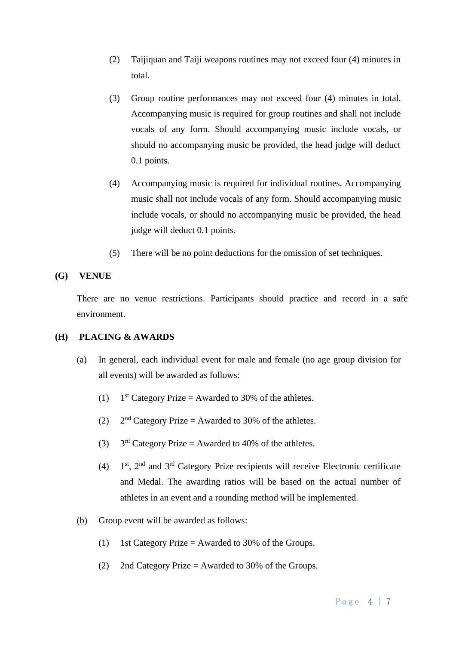- (2) Taijiquan and Taiji weapons routines may not exceed four (4) minutes in total.
- (3) Group routine performances may not exceed four (4) minutes in total. Accompanying music is required for group routines and shall not include vocals of any form. Should accompanying music include vocals, or should no accompanying music be provided, the head judge will deduct 0.1 points.
- (4) Accompanying music is required for individual routines. Accompanying music shall not include vocals of any form. Should accompanying music include vocals, or should no accompanying music be provided, the head judge will deduct 0.1 points.
- (5) There will be no point deductions for the omission of set techniques.

#### **(G) VENUE**

There are no venue restrictions. Participants should practice and record in a safe environment.

## **(H) PLACING & AWARDS**

- (a) In general, each individual event for male and female (no age group division for all events) will be awarded as follows:
	- $(1)$  $1<sup>st</sup>$  Category Prize = Awarded to 30% of the athletes.
	- $(2)$  $2<sup>nd</sup>$  Category Prize = Awarded to 30% of the athletes.
	- $(3)$  $3<sup>rd</sup>$  Category Prize = Awarded to 40% of the athletes.
	- $(4)$ 1<sup>st</sup>, 2<sup>nd</sup> and 3<sup>rd</sup> Category Prize recipients will receive Electronic certificate and Medal. The awarding ratios will be based on the actual number of athletes in an event and a rounding method will be implemented.
- (b) Group event will be awarded as follows:
	- (1) 1st Category Prize = Awarded to 30% of the Groups.
	- (2) 2nd Category Prize = Awarded to 30% of the Groups.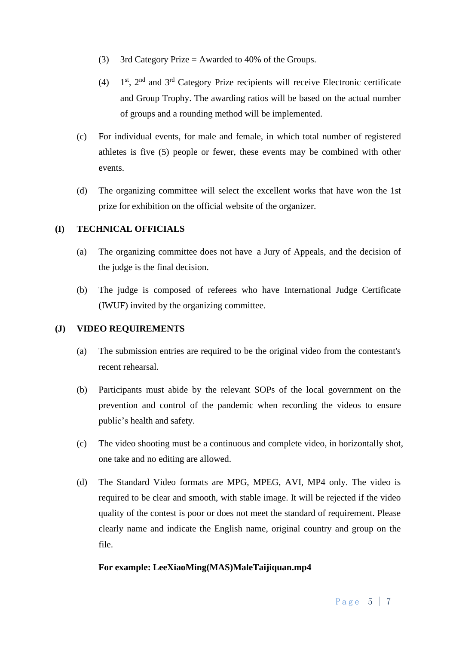- (3) 3rd Category Prize  $=$  Awarded to 40% of the Groups.
- $(4)$  $1<sup>st</sup>$ ,  $2<sup>nd</sup>$  and  $3<sup>rd</sup>$  Category Prize recipients will receive Electronic certificate and Group Trophy. The awarding ratios will be based on the actual number of groups and a rounding method will be implemented.
- (c) For individual events, for male and female, in which total number of registered athletes is five (5) people or fewer, these events may be combined with other events.
- (d) The organizing committee will select the excellent works that have won the 1st prize for exhibition on the official website of the organizer.

## **(I) TECHNICAL OFFICIALS**

- (a) The organizing committee does not have a Jury of Appeals, and the decision of the judge is the final decision.
- (b) The judge is composed of referees who have International Judge Certificate (IWUF) invited by the organizing committee.

## **(J) VIDEO REQUIREMENTS**

- (a) The submission entries are required to be the original video from the contestant's recent rehearsal.
- (b) Participants must abide by the relevant SOPs of the local government on the prevention and control of the pandemic when recording the videos to ensure public's health and safety.
- (c) The video shooting must be a continuous and complete video, in horizontally shot, one take and no editing are allowed.
- (d) The Standard Video formats are MPG, MPEG, AVI, MP4 only. The video is required to be clear and smooth, with stable image. It will be rejected if the video quality of the contest is poor or does not meet the standard of requirement. Please clearly name and indicate the English name, original country and group on the file.

#### **For example: LeeXiaoMing(MAS)MaleTaijiquan.mp4**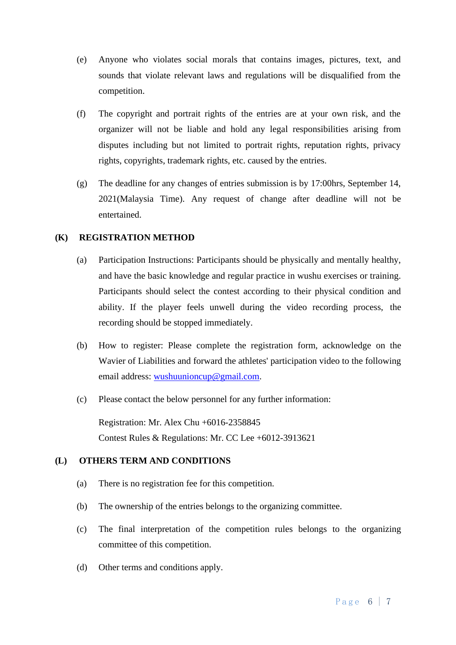- (e) Anyone who violates social morals that contains images, pictures, text, and sounds that violate relevant laws and regulations will be disqualified from the competition.
- (f) The copyright and portrait rights of the entries are at your own risk, and the organizer will not be liable and hold any legal responsibilities arising from disputes including but not limited to portrait rights, reputation rights, privacy rights, copyrights, trademark rights, etc. caused by the entries.
- (g) The deadline for any changes of entries submission is by 17:00hrs, September 14, 2021(Malaysia Time). Any request of change after deadline will not be entertained.

#### **(K) REGISTRATION METHOD**

- (a) Participation Instructions: Participants should be physically and mentally healthy, and have the basic knowledge and regular practice in wushu exercises or training. Participants should select the contest according to their physical condition and ability. If the player feels unwell during the video recording process, the recording should be stopped immediately.
- (b) How to register: Please complete the registration form, acknowledge on the Wavier of Liabilities and forward the athletes' participation video to the following email address: [wushuunioncup@gmail.com.](mailto:wushuunioncup@gmail.com)
- (c) Please contact the below personnel for any further information:

Registration: Mr. Alex Chu +6016-2358845 Contest Rules & Regulations: Mr. CC Lee +6012-3913621

## **(L) OTHERS TERM AND CONDITIONS**

- (a) There is no registration fee for this competition.
- (b) The ownership of the entries belongs to the organizing committee.
- (c) The final interpretation of the competition rules belongs to the organizing committee of this competition.
- (d) Other terms and conditions apply.